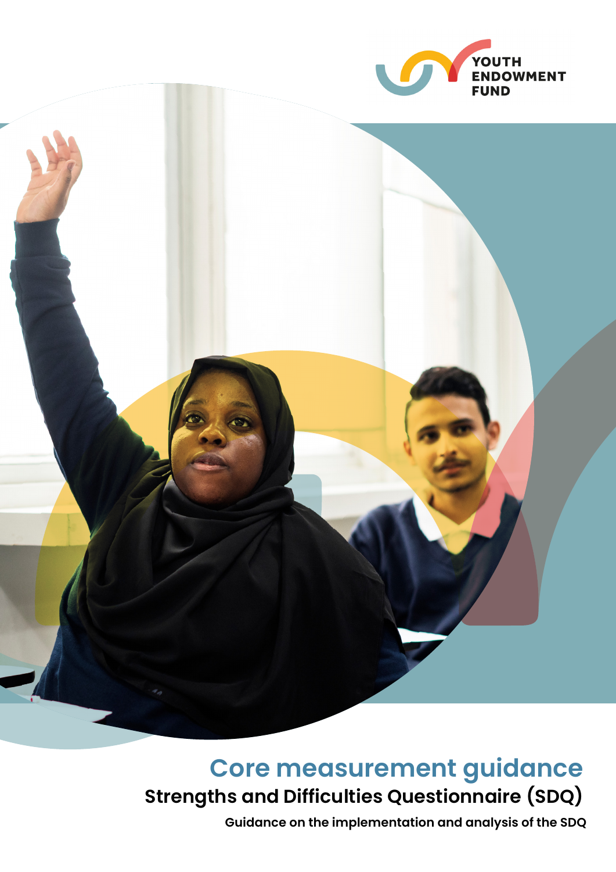



# **Core measurement guidance Strengths and Difficulties Questionnaire (SDQ)**

**Guidance on the implementation and analysis of the SDQ**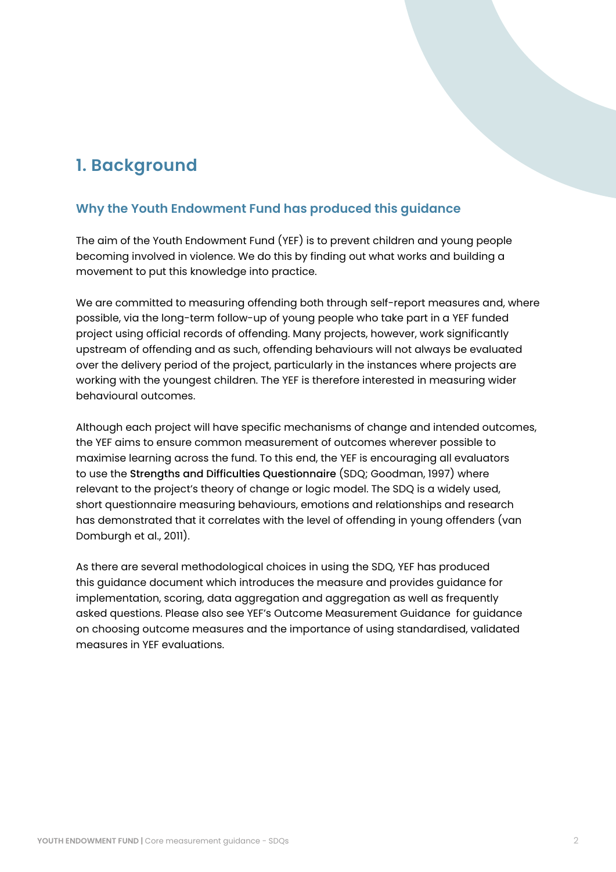## **1. Background**

### **Why the Youth Endowment Fund has produced this guidance**

The aim of the Youth Endowment Fund (YEF) is to prevent children and young people becoming involved in violence. We do this by finding out what works and building a movement to put this knowledge into practice.

We are committed to measuring offending both through self-report measures and, where possible, via the long-term follow-up of young people who take part in a YEF funded project using official records of offending. Many projects, however, work significantly upstream of offending and as such, offending behaviours will not always be evaluated over the delivery period of the project, particularly in the instances where projects are working with the youngest children. The YEF is therefore interested in measuring wider behavioural outcomes.

Although each project will have specific mechanisms of change and intended outcomes, the YEF aims to ensure common measurement of outcomes wherever possible to maximise learning across the fund. To this end, the YEF is encouraging all evaluators to use the Strengths and Difficulties Questionnaire (SDQ; Goodman, 1997) where relevant to the project's theory of change or logic model. The SDQ is a widely used, short questionnaire measuring behaviours, emotions and relationships and research has demonstrated that it correlates with the level of offending in young offenders (van Domburgh et al., 2011).

As there are several methodological choices in using the SDQ, YEF has produced this guidance document which introduces the measure and provides guidance for implementation, scoring, data aggregation and aggregation as well as frequently asked questions. Please also see YEF's Outcome Measurement Guidance for guidance on choosing outcome measures and the importance of using standardised, validated measures in YEF evaluations.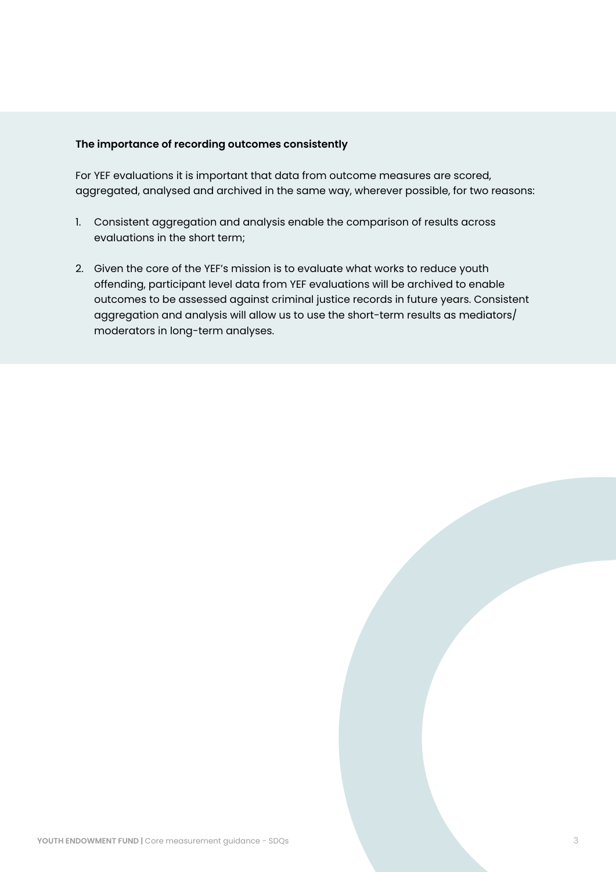### **The importance of recording outcomes consistently**

For YEF evaluations it is important that data from outcome measures are scored, aggregated, analysed and archived in the same way, wherever possible, for two reasons:

- 1. Consistent aggregation and analysis enable the comparison of results across evaluations in the short term;
- 2. Given the core of the YEF's mission is to evaluate what works to reduce youth offending, participant level data from YEF evaluations will be archived to enable outcomes to be assessed against criminal justice records in future years. Consistent aggregation and analysis will allow us to use the short-term results as mediators/ moderators in long-term analyses.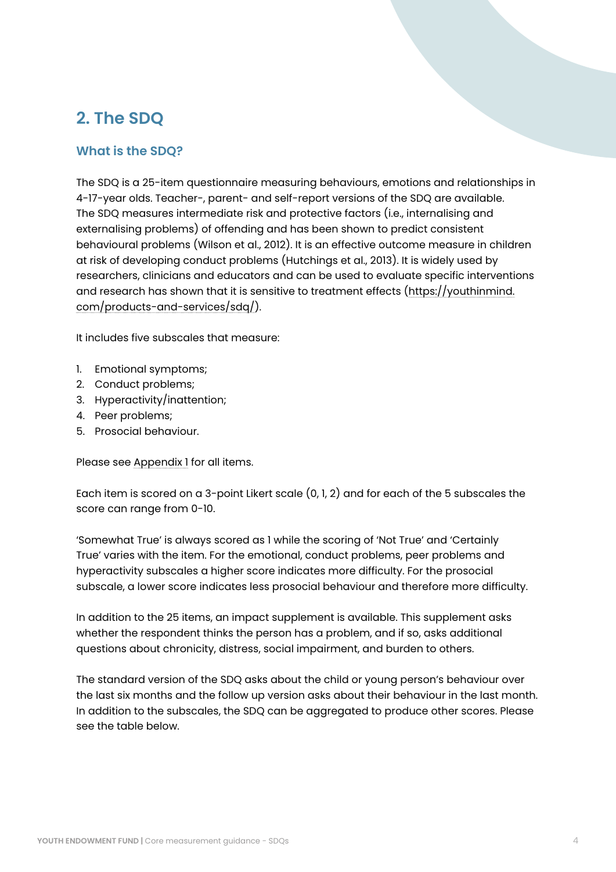## **2. The SDQ**

## **What is the SDQ?**

The SDQ is a 25-item questionnaire measuring behaviours, emotions and relationships in 4-17-year olds. Teacher-, parent- and self-report versions of the SDQ are available. The SDQ measures intermediate risk and protective factors (i.e., internalising and externalising problems) of offending and has been shown to predict consistent behavioural problems (Wilson et al., 2012). It is an effective outcome measure in children at risk of developing conduct problems (Hutchings et al., 2013). It is widely used by researchers, clinicians and educators and can be used to evaluate specific interventions and research has shown that it is sensitive to treatment effects ([https://youthinmind.](https://youthinmind.com/products-and-services/sdq/) [com/products-and-services/sdq/](https://youthinmind.com/products-and-services/sdq/)).

It includes five subscales that measure:

- 1. Emotional symptoms;
- 2. Conduct problems;
- 3. Hyperactivity/inattention;
- 4. Peer problems;
- 5. Prosocial behaviour.

Please see [Appendix 1](#page-10-0) for all items.

Each item is scored on a 3-point Likert scale (0, 1, 2) and for each of the 5 subscales the score can range from 0-10.

'Somewhat True' is always scored as 1 while the scoring of 'Not True' and 'Certainly True' varies with the item. For the emotional, conduct problems, peer problems and hyperactivity subscales a higher score indicates more difficulty. For the prosocial subscale, a lower score indicates less prosocial behaviour and therefore more difficulty.

In addition to the 25 items, an impact supplement is available. This supplement asks whether the respondent thinks the person has a problem, and if so, asks additional questions about chronicity, distress, social impairment, and burden to others.

The standard version of the SDQ asks about the child or young person's behaviour over the last six months and the follow up version asks about their behaviour in the last month. In addition to the subscales, the SDQ can be aggregated to produce other scores. Please see the table below.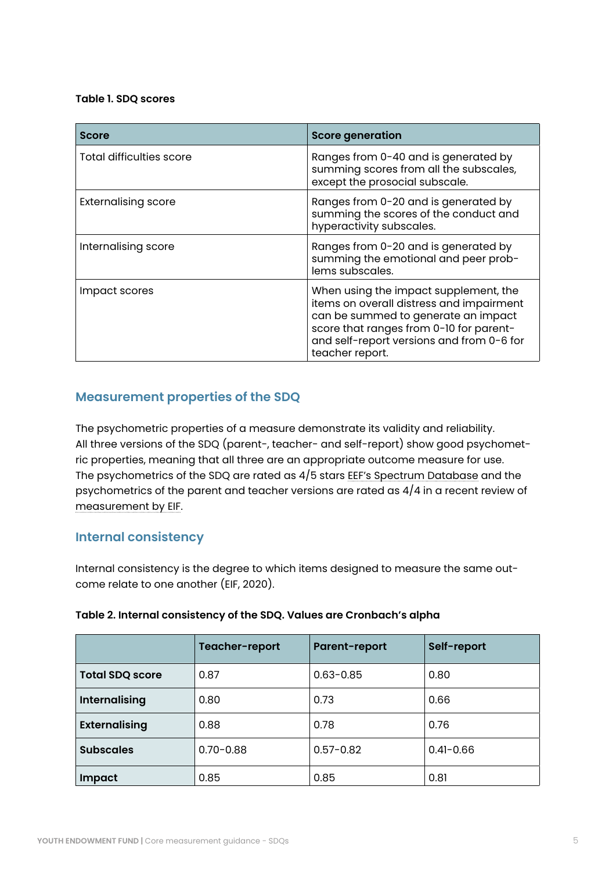#### **Table 1. SDQ scores**

| <b>Score</b>               | <b>Score generation</b>                                                                                                                                                                                                             |
|----------------------------|-------------------------------------------------------------------------------------------------------------------------------------------------------------------------------------------------------------------------------------|
| Total difficulties score   | Ranges from 0-40 and is generated by<br>summing scores from all the subscales,<br>except the prosocial subscale.                                                                                                                    |
| <b>Externalising score</b> | Ranges from 0-20 and is generated by<br>summing the scores of the conduct and<br>hyperactivity subscales.                                                                                                                           |
| Internalising score        | Ranges from 0-20 and is generated by<br>summing the emotional and peer prob-<br>lems subscales.                                                                                                                                     |
| Impact scores              | When using the impact supplement, the<br>items on overall distress and impairment<br>can be summed to generate an impact<br>score that ranges from 0-10 for parent-<br>and self-report versions and from 0-6 for<br>teacher report. |

## **Measurement properties of the SDQ**

The psychometric properties of a measure demonstrate its validity and reliability. All three versions of the SDQ (parent-, teacher- and self-report) show good psychometric properties, meaning that all three are an appropriate outcome measure for use. The psychometrics of the SDQ are rated as 4/5 stars [EEF's Spectrum Database](https://educationendowmentfoundation.org.uk/projects-and-evaluation/evaluating-projects/measuring-essential-skills/spectrum-database/strength-and-difficulties-questionnaire-parent-teacher-and-self-report-vers/) and the psychometrics of the parent and teacher versions are rated as 4/4 in a recent review of [measurement by EIF.](https://www.eif.org.uk/resource/measuring-parental-conflict-and-its-impact-on-child-outcomes)

### **Internal consistency**

Internal consistency is the degree to which items designed to measure the same outcome relate to one another (EIF, 2020).

|                                   | Teacher-report | <b>Parent-report</b> | Self-report   |  |
|-----------------------------------|----------------|----------------------|---------------|--|
| <b>Total SDQ score</b>            | 0.87           | $0.63 - 0.85$        | 0.80          |  |
| <b>Internalising</b>              | 0.80           | 0.73                 | 0.66          |  |
| <b>Externalising</b>              | 0.88           | 0.78                 | 0.76          |  |
| <b>Subscales</b><br>$0.70 - 0.88$ |                | $0.57 - 0.82$        | $0.41 - 0.66$ |  |
| Impact                            | 0.85           | 0.85                 | 0.81          |  |

### **Table 2. Internal consistency of the SDQ. Values are Cronbach's alpha**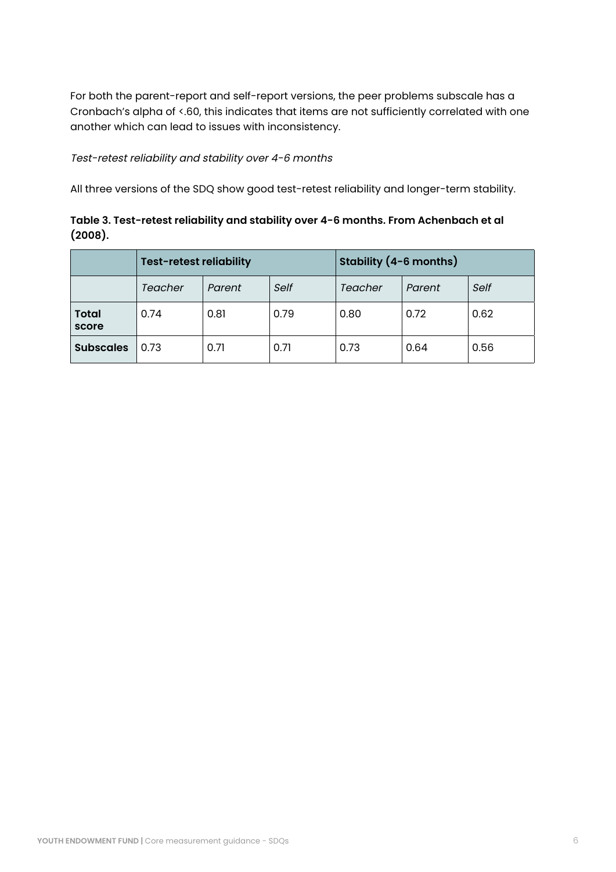For both the parent-report and self-report versions, the peer problems subscale has a Cronbach's alpha of <.60, this indicates that items are not sufficiently correlated with one another which can lead to issues with inconsistency.

#### Test-retest reliability and stability over 4-6 months

All three versions of the SDQ show good test-retest reliability and longer-term stability.

**Table 3. Test-retest reliability and stability over 4-6 months. From Achenbach et al (2008).** 

|                       | <b>Test-retest reliability</b> |        | Stability (4-6 months) |         |        |      |
|-----------------------|--------------------------------|--------|------------------------|---------|--------|------|
|                       | Teacher                        | Parent | Self                   | Teacher | Parent | Self |
| <b>Total</b><br>score | 0.74                           | 0.81   | 0.79                   | 0.80    | 0.72   | 0.62 |
| <b>Subscales</b>      | 0.73                           | 0.71   | 0.71                   | 0.73    | 0.64   | 0.56 |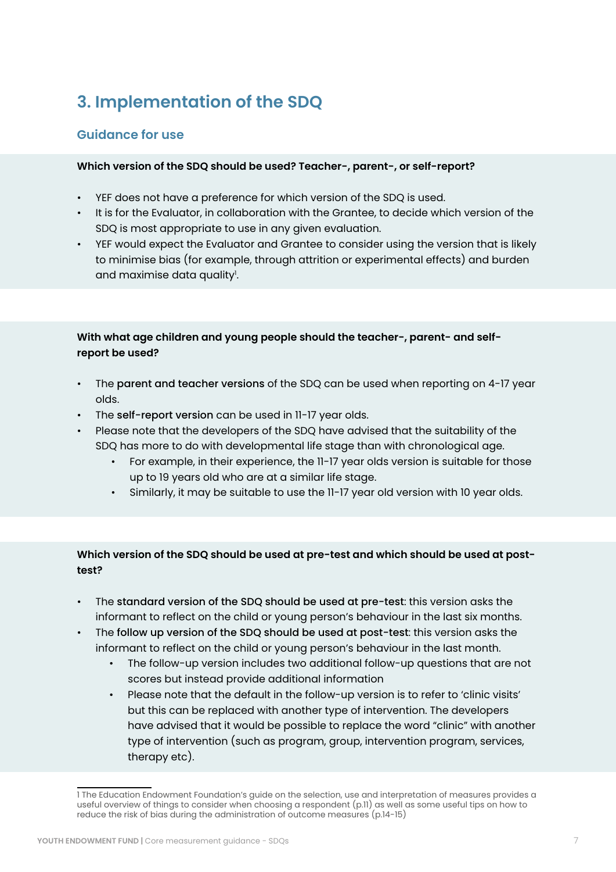## **3. Implementation of the SDQ**

### **Guidance for use**

### **Which version of the SDQ should be used? Teacher-, parent-, or self-report?**

- YEF does not have a preference for which version of the SDQ is used.
- It is for the Evaluator, in collaboration with the Grantee, to decide which version of the SDQ is most appropriate to use in any given evaluation.
- YEF would expect the Evaluator and Grantee to consider using the version that is likely to minimise bias (for example, through attrition or experimental effects) and burden and maximise data quality<sup>1</sup>.

### **With what age children and young people should the teacher-, parent- and selfreport be used?**

- The parent and teacher versions of the SDQ can be used when reporting on 4-17 year olds.
- The self-report version can be used in 11-17 year olds.
- Please note that the developers of the SDQ have advised that the suitability of the SDQ has more to do with developmental life stage than with chronological age.
	- For example, in their experience, the 11-17 year olds version is suitable for those up to 19 years old who are at a similar life stage.
	- Similarly, it may be suitable to use the 11-17 year old version with 10 year olds.

### **Which version of the SDQ should be used at pre-test and which should be used at posttest?**

- The standard version of the SDQ should be used at pre-test: this version asks the informant to reflect on the child or young person's behaviour in the last six months.
- The follow up version of the SDO should be used at post-test: this version asks the informant to reflect on the child or young person's behaviour in the last month.
	- The follow-up version includes two additional follow-up questions that are not scores but instead provide additional information
	- Please note that the default in the follow-up version is to refer to 'clinic visits' but this can be replaced with another type of intervention. The developers have advised that it would be possible to replace the word "clinic" with another type of intervention (such as program, group, intervention program, services, therapy etc).

<sup>1</sup> The Education Endowment Foundation's guide on the selection, use and interpretation of measures provides a useful overview of things to consider when choosing a respondent (p.11) as well as some useful tips on how to reduce the risk of bias during the administration of outcome measures (p.14-15)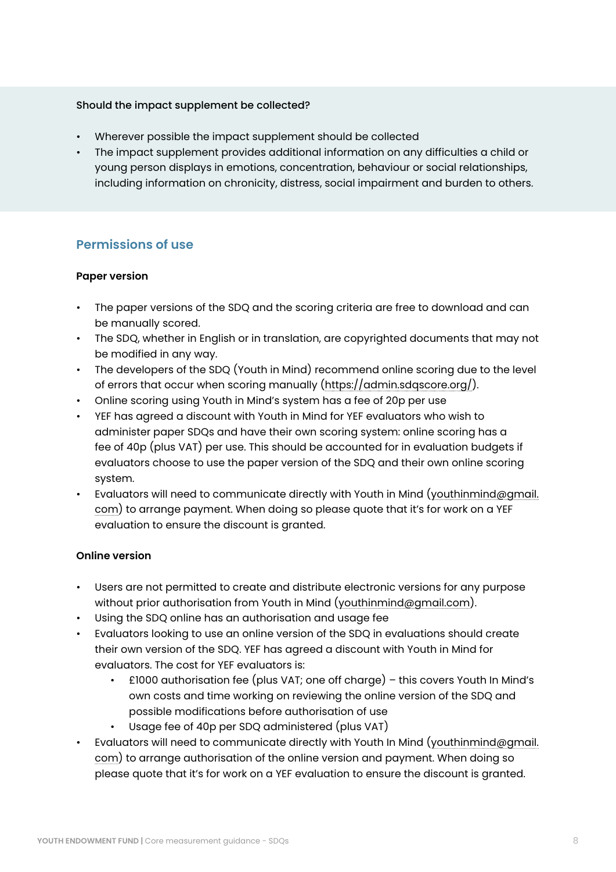### Should the impact supplement be collected?

- Wherever possible the impact supplement should be collected
- The impact supplement provides additional information on any difficulties a child or young person displays in emotions, concentration, behaviour or social relationships, including information on chronicity, distress, social impairment and burden to others.

### **Permissions of use**

#### **Paper version**

- The paper versions of the SDQ and the scoring criteria are free to download and can be manually scored.
- The SDQ, whether in English or in translation, are copyrighted documents that may not be modified in any way.
- The developers of the SDQ (Youth in Mind) recommend online scoring due to the level of errors that occur when scoring manually [\(https://admin.sdqscore.org/](https://admin.sdqscore.org/)).
- Online scoring using Youth in Mind's system has a fee of 20p per use
- YEF has agreed a discount with Youth in Mind for YEF evaluators who wish to administer paper SDQs and have their own scoring system: online scoring has a fee of 40p (plus VAT) per use. This should be accounted for in evaluation budgets if evaluators choose to use the paper version of the SDQ and their own online scoring system.
- Evaluators will need to communicate directly with Youth in Mind ([youthinmind@gmail.](mailto:youthinmind%40gmail.com?subject=) [com](mailto:youthinmind%40gmail.com?subject=)) to arrange payment. When doing so please quote that it's for work on a YEF evaluation to ensure the discount is granted.

#### **Online version**

- Users are not permitted to create and distribute electronic versions for any purpose without prior authorisation from Youth in Mind [\(youthinmind@gmail.com](mailto:youthinmind%40gmail.com?subject=)).
- Using the SDQ online has an authorisation and usage fee
- Evaluators looking to use an online version of the SDQ in evaluations should create their own version of the SDQ. YEF has agreed a discount with Youth in Mind for evaluators. The cost for YEF evaluators is:
	- £1000 authorisation fee (plus VAT; one off charge) this covers Youth In Mind's own costs and time working on reviewing the online version of the SDQ and possible modifications before authorisation of use
	- Usage fee of 40p per SDQ administered (plus VAT)
- Evaluators will need to communicate directly with Youth In Mind ([youthinmind@gmail.](mailto:youthinmind%40gmail.com?subject=) [com](mailto:youthinmind%40gmail.com?subject=)) to arrange authorisation of the online version and payment. When doing so please quote that it's for work on a YEF evaluation to ensure the discount is granted.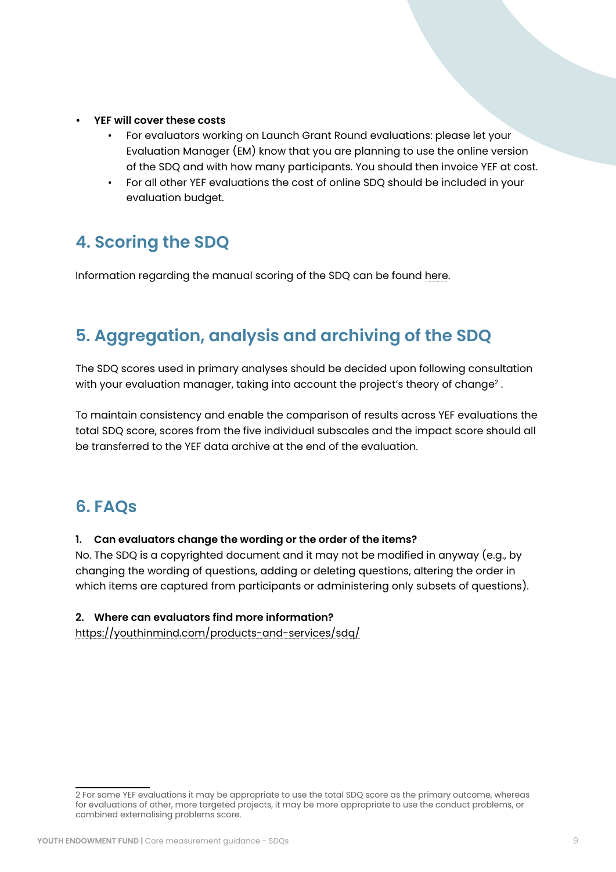- **• YEF will cover these costs**
	- For evaluators working on Launch Grant Round evaluations: please let your Evaluation Manager (EM) know that you are planning to use the online version of the SDQ and with how many participants. You should then invoice YEF at cost.
	- For all other YEF evaluations the cost of online SDQ should be included in your evaluation budget.

## **4. Scoring the SDQ**

Information regarding the manual scoring of the SDQ can be found [here](http://www.wltsa.org.uk/professional-development/research-development/wltsa-research/strengths-and-difficulties-questionaire-4-17-yrs-scoring/).

## **5. Aggregation, analysis and archiving of the SDQ**

The SDQ scores used in primary analyses should be decided upon following consultation with your evaluation manager, taking into account the project's theory of change<sup>2</sup>.

To maintain consistency and enable the comparison of results across YEF evaluations the total SDQ score, scores from the five individual subscales and the impact score should all be transferred to the YEF data archive at the end of the evaluation.

## **6. FAQs**

### **1. Can evaluators change the wording or the order of the items?**

No. The SDQ is a copyrighted document and it may not be modified in anyway (e.g., by changing the wording of questions, adding or deleting questions, altering the order in which items are captured from participants or administering only subsets of questions).

### **2. Where can evaluators find more information?**

<https://youthinmind.com/products-and-services/sdq/>

<sup>2</sup> For some YEF evaluations it may be appropriate to use the total SDQ score as the primary outcome, whereas for evaluations of other, more targeted projects, it may be more appropriate to use the conduct problems, or combined externalising problems score.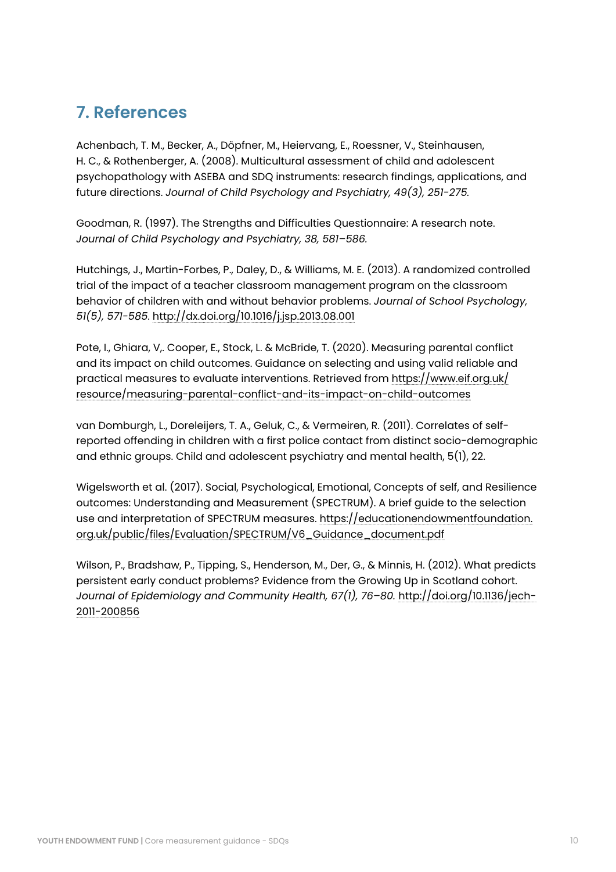## **7. References**

Achenbach, T. M., Becker, A., Döpfner, M., Heiervang, E., Roessner, V., Steinhausen, H. C., & Rothenberger, A. (2008). Multicultural assessment of child and adolescent psychopathology with ASEBA and SDQ instruments: research findings, applications, and future directions. *Journal of Child Psychology and Psychiatry, 49(3), 251-275.*

Goodman, R. (1997). The Strengths and Difficulties Questionnaire: A research note. *Journal of Child Psychology and Psychiatry, 38, 581–586.*

Hutchings, J., Martin-Forbes, P., Daley, D., & Williams, M. E. (2013). A randomized controlled trial of the impact of a teacher classroom management program on the classroom behavior of children with and without behavior problems. *Journal of School Psychology, 51(5), 571-585*. <http://dx.doi.org/10.1016/j.jsp.2013.08.001>

Pote, I., Ghiara, V,. Cooper, E., Stock, L. & McBride, T. (2020). Measuring parental conflict and its impact on child outcomes. Guidance on selecting and using valid reliable and practical measures to evaluate interventions. Retrieved from [https://www.eif.org.uk/](https://www.eif.org.uk/resource/measuring-parental-conflict-and-its-impact-on-child-outcomes) [resource/measuring-parental-conflict-and-its-impact-on-child-outcomes](https://www.eif.org.uk/resource/measuring-parental-conflict-and-its-impact-on-child-outcomes)

van Domburgh, L., Doreleijers, T. A., Geluk, C., & Vermeiren, R. (2011). Correlates of selfreported offending in children with a first police contact from distinct socio-demographic and ethnic groups. Child and adolescent psychiatry and mental health, 5(1), 22.

Wigelsworth et al. (2017). Social, Psychological, Emotional, Concepts of self, and Resilience outcomes: Understanding and Measurement (SPECTRUM). A brief guide to the selection use and interpretation of SPECTRUM measures. [https://educationendowmentfoundation.](https://educationendowmentfoundation.org.uk/public/files/Evaluation/SPECTRUM/V6_Guidance_document.pd) [org.uk/public/files/Evaluation/SPECTRUM/V6\\_Guidance\\_document.pdf](https://educationendowmentfoundation.org.uk/public/files/Evaluation/SPECTRUM/V6_Guidance_document.pd)

Wilson, P., Bradshaw, P., Tipping, S., Henderson, M., Der, G., & Minnis, H. (2012). What predicts persistent early conduct problems? Evidence from the Growing Up in Scotland cohort. *Journal of Epidemiology and Community Health, 67(1), 76–80.* [http://doi.org/10.1136/jech-](http://doi.org/10.1136/jech-2011-200856)[2011-200856](http://doi.org/10.1136/jech-2011-200856)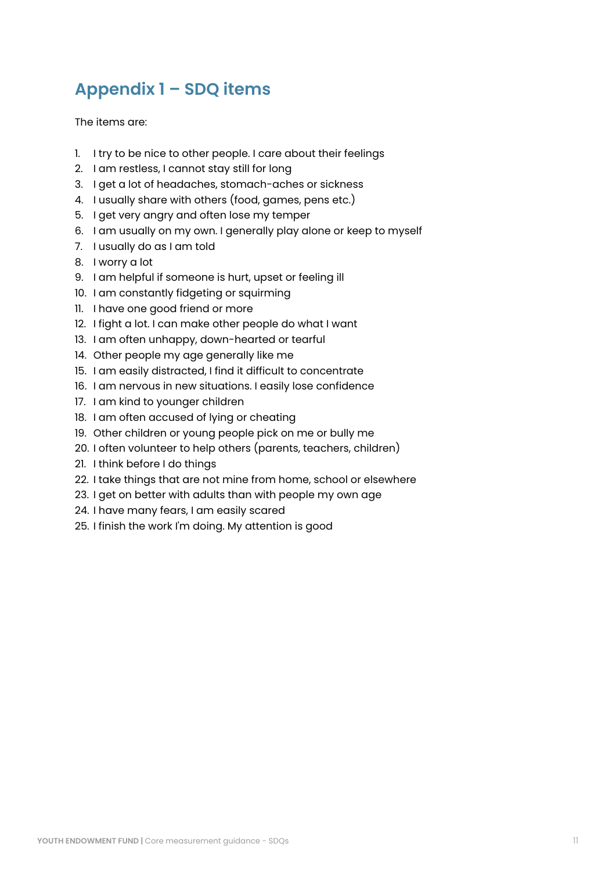## <span id="page-10-0"></span>**Appendix 1 – SDQ items**

The items are:

- 1. I try to be nice to other people. I care about their feelings
- 2. I am restless, I cannot stay still for long
- 3. I get a lot of headaches, stomach-aches or sickness
- 4. I usually share with others (food, games, pens etc.)
- 5. I get very angry and often lose my temper
- 6. I am usually on my own. I generally play alone or keep to myself
- 7. I usually do as I am told
- 8. I worry a lot
- 9. I am helpful if someone is hurt, upset or feeling ill
- 10. I am constantly fidgeting or squirming
- 11. I have one good friend or more
- 12. I fight a lot. I can make other people do what I want
- 13. I am often unhappy, down-hearted or tearful
- 14. Other people my age generally like me
- 15. I am easily distracted, I find it difficult to concentrate
- 16. I am nervous in new situations. I easily lose confidence
- 17. I am kind to younger children
- 18. I am often accused of lying or cheating
- 19. Other children or young people pick on me or bully me
- 20. I often volunteer to help others (parents, teachers, children)
- 21. I think before I do things
- 22. I take things that are not mine from home, school or elsewhere
- 23. I get on better with adults than with people my own age
- 24. I have many fears, I am easily scared
- 25. I finish the work I'm doing. My attention is good